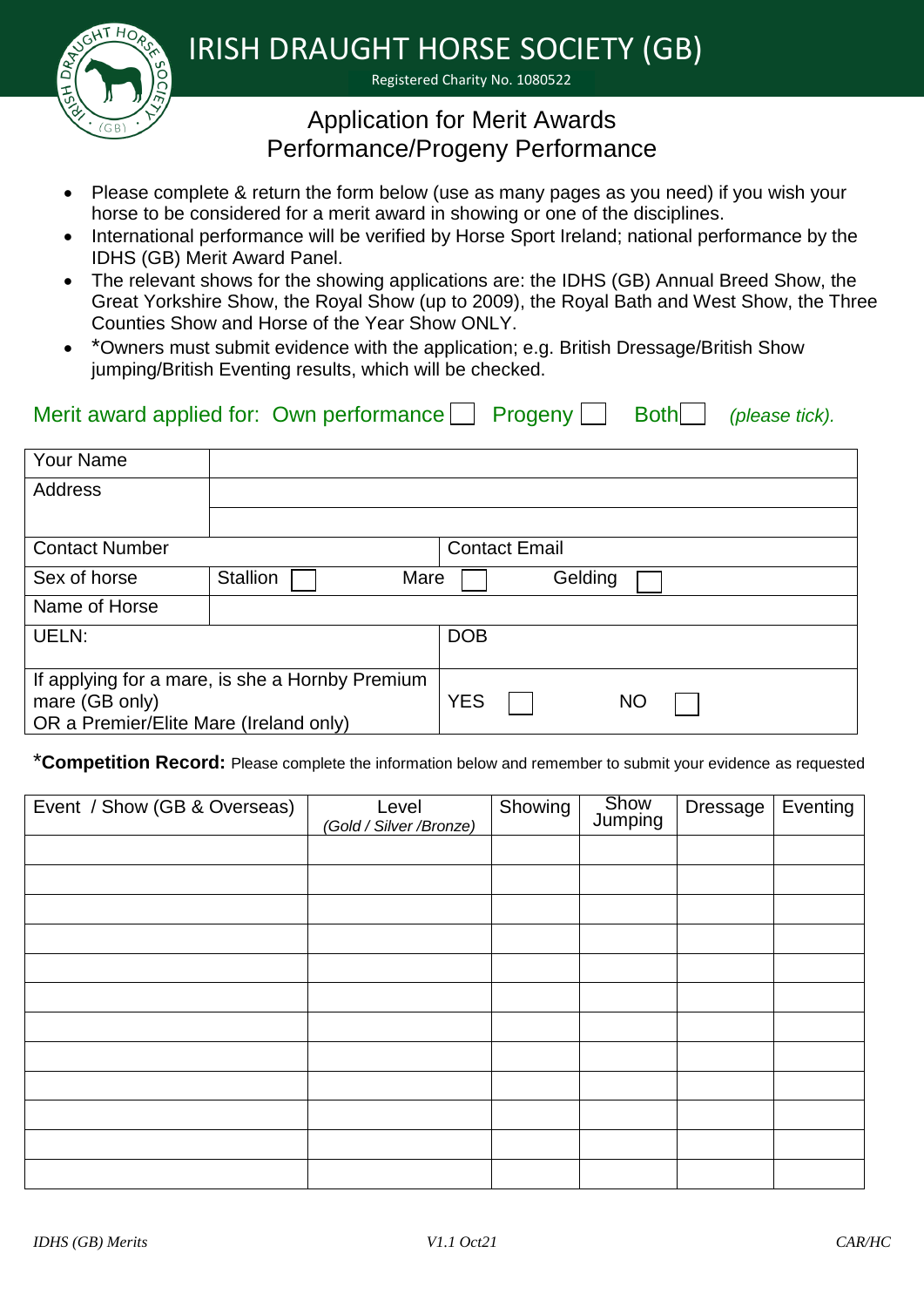IRISH DRAUGHT HORSE SOCIETY (GB)

Registered Charity No. 1080522

## Application for Merit Awards Performance/Progeny Performance

- Please complete & return the form below (use as many pages as you need) if you wish your horse to be considered for a merit award in showing or one of the disciplines.
- International performance will be verified by Horse Sport Ireland; national performance by the IDHS (GB) Merit Award Panel.
- The relevant shows for the showing applications are: the IDHS (GB) Annual Breed Show, the Great Yorkshire Show, the Royal Show (up to 2009), the Royal Bath and West Show, the Three Counties Show and Horse of the Year Show ONLY.
- \*Owners must submit evidence with the application; e.g. British Dressage/British Show jumping/British Eventing results, which will be checked.

## Merit award applied for: Own performance Progeny Progeny Both (please tick).

| <b>Your Name</b>                                                                                            |                         |                         |
|-------------------------------------------------------------------------------------------------------------|-------------------------|-------------------------|
| Address                                                                                                     |                         |                         |
|                                                                                                             |                         |                         |
| <b>Contact Number</b>                                                                                       |                         | <b>Contact Email</b>    |
| Sex of horse                                                                                                | <b>Stallion</b><br>Mare | Gelding                 |
| Name of Horse                                                                                               |                         |                         |
| UELN:                                                                                                       |                         | <b>DOB</b>              |
| If applying for a mare, is she a Hornby Premium<br>mare (GB only)<br>OR a Premier/Elite Mare (Ireland only) |                         | <b>YES</b><br><b>NO</b> |

\***Competition Record:** Please complete the information below and remember to submit your evidence as requested

| Event / Show (GB & Overseas) | Level<br>(Gold / Silver / Bronze) | Showing | Show<br>Jumping | <b>Dressage</b> | Eventing |
|------------------------------|-----------------------------------|---------|-----------------|-----------------|----------|
|                              |                                   |         |                 |                 |          |
|                              |                                   |         |                 |                 |          |
|                              |                                   |         |                 |                 |          |
|                              |                                   |         |                 |                 |          |
|                              |                                   |         |                 |                 |          |
|                              |                                   |         |                 |                 |          |
|                              |                                   |         |                 |                 |          |
|                              |                                   |         |                 |                 |          |
|                              |                                   |         |                 |                 |          |
|                              |                                   |         |                 |                 |          |
|                              |                                   |         |                 |                 |          |
|                              |                                   |         |                 |                 |          |